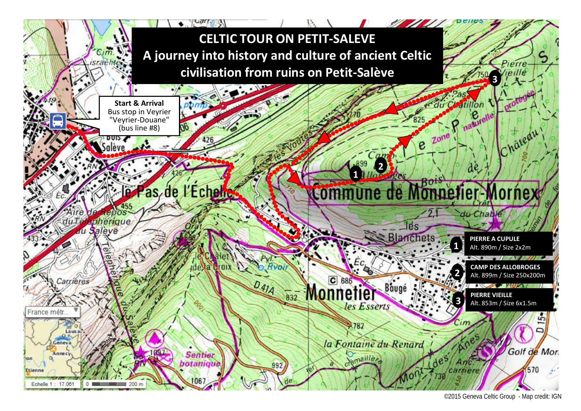

<sup>©2015</sup> Geneva Celtic Group - Map credit: IGN